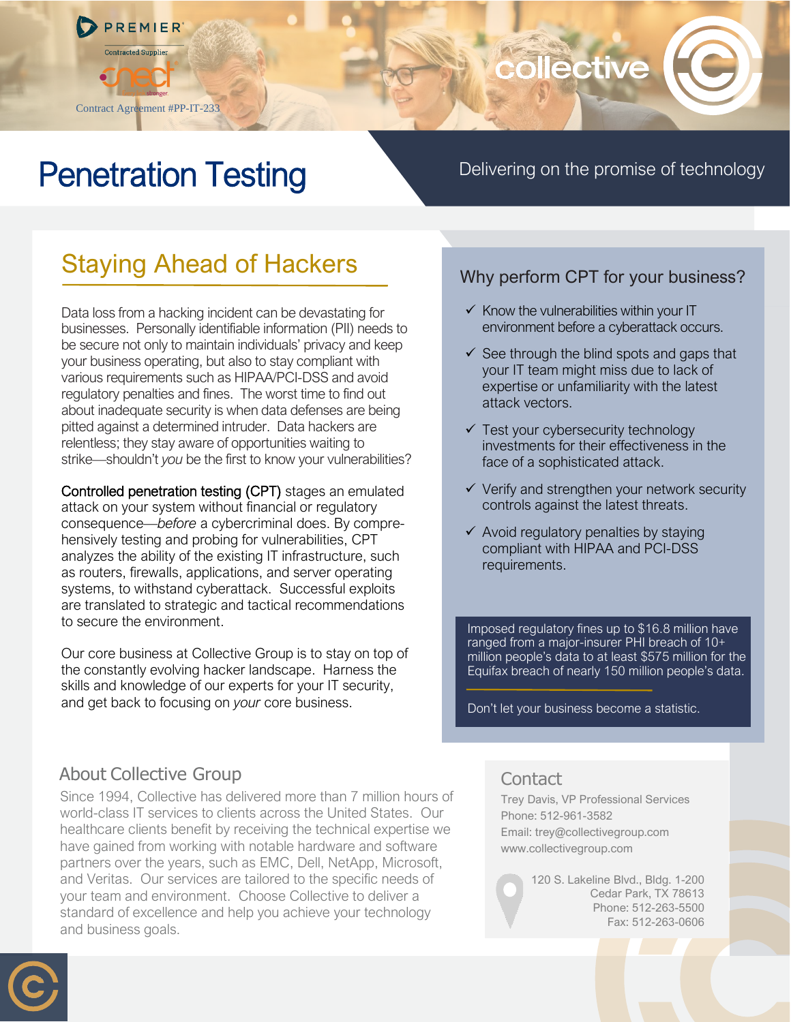

# collective

## Penetration Testing

Delivering on the promise of technology

## Staying Ahead of Hackers

Data loss from a hacking incident can be devastating for businesses. Personally identifiable information (PII) needs to be secure not only to maintain individuals' privacy and keep your business operating, but also to stay compliant with various requirements such as HIPAA/PCI-DSS and avoid regulatory penalties and fines. The worst time to find out about inadequate security is when data defenses are being pitted against a determined intruder. Data hackers are relentless; they stay aware of opportunities waiting to strike—shouldn't *you* be the first to know your vulnerabilities?

Controlled penetration testing (CPT) stages an emulated attack on your system without financial or regulatory consequence—*before* a cybercriminal does. By comprehensively testing and probing for vulnerabilities, CPT analyzes the ability of the existing IT infrastructure, such as routers, firewalls, applications, and server operating systems, to withstand cyberattack. Successful exploits are translated to strategic and tactical recommendations to secure the environment.

Our core business at Collective Group is to stay on top of the constantly evolving hacker landscape. Harness the skills and knowledge of our experts for your IT security, and get back to focusing on *your* core business.

### Why perform CPT for your business?

- $\checkmark$  Know the vulnerabilities within your IT environment before a cyberattack occurs.
- $\checkmark$  See through the blind spots and gaps that your IT team might miss due to lack of expertise or unfamiliarity with the latest attack vectors.
- $\checkmark$  Test your cybersecurity technology investments for their effectiveness in the face of a sophisticated attack.
- ✓ Verify and strengthen your network security controls against the latest threats.
- $\checkmark$  Avoid regulatory penalties by staying compliant with HIPAA and PCI-DSS requirements.

Imposed regulatory fines up to \$16.8 million have ranged from a major-insurer PHI breach of 10+ million people's data to at least \$575 million for the Equifax breach of nearly 150 million people's data.

Don't let your business become a statistic.

## About Collective Group

Since 1994, Collective has delivered more than 7 million hours of world-class IT services to clients across the United States. Our healthcare clients benefit by receiving the technical expertise we have gained from working with notable hardware and software partners over the years, such as EMC, Dell, NetApp, Microsoft, and Veritas. Our services are tailored to the specific needs of your team and environment. Choose Collective to deliver a standard of excellence and help you achieve your technology and business goals.

### **Contact**

Trey Davis, VP Professional Services Phone: 512-961-3582 Email: trey@collectivegroup.com www.collectivegroup.com

> 120 S. Lakeline Blvd., Bldg. 1-200 Cedar Park, TX 78613 Phone: 512-263-5500 Fax: 512-263-0606